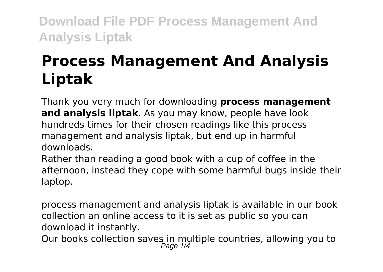# **Process Management And Analysis Liptak**

Thank you very much for downloading **process management and analysis liptak**. As you may know, people have look hundreds times for their chosen readings like this process management and analysis liptak, but end up in harmful downloads.

Rather than reading a good book with a cup of coffee in the afternoon, instead they cope with some harmful bugs inside their laptop.

process management and analysis liptak is available in our book collection an online access to it is set as public so you can download it instantly.

Our books collection saves in multiple countries, allowing you to<br> $_{Page 1/4}^{Page 1/4}$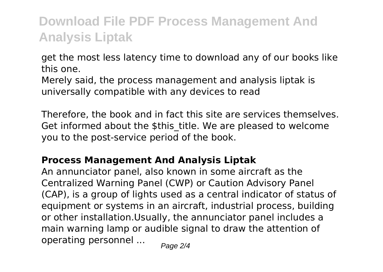get the most less latency time to download any of our books like this one.

Merely said, the process management and analysis liptak is universally compatible with any devices to read

Therefore, the book and in fact this site are services themselves. Get informed about the \$this title. We are pleased to welcome you to the post-service period of the book.

#### **Process Management And Analysis Liptak**

An annunciator panel, also known in some aircraft as the Centralized Warning Panel (CWP) or Caution Advisory Panel (CAP), is a group of lights used as a central indicator of status of equipment or systems in an aircraft, industrial process, building or other installation.Usually, the annunciator panel includes a main warning lamp or audible signal to draw the attention of operating personnel ...  $_{\text{Page 2/4}}$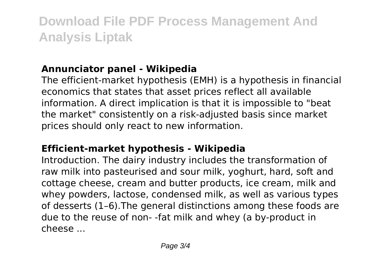### **Annunciator panel - Wikipedia**

The efficient-market hypothesis (EMH) is a hypothesis in financial economics that states that asset prices reflect all available information. A direct implication is that it is impossible to "beat the market" consistently on a risk-adjusted basis since market prices should only react to new information.

#### **Efficient-market hypothesis - Wikipedia**

Introduction. The dairy industry includes the transformation of raw milk into pasteurised and sour milk, yoghurt, hard, soft and cottage cheese, cream and butter products, ice cream, milk and whey powders, lactose, condensed milk, as well as various types of desserts (1–6).The general distinctions among these foods are due to the reuse of non- -fat milk and whey (a by-product in cheese ...